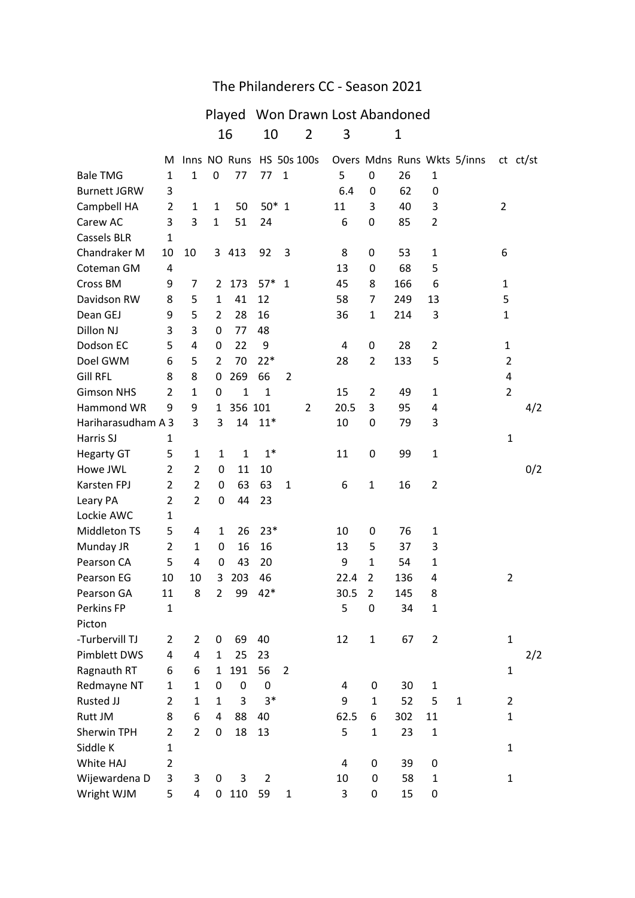## The Philanderers CC - Season 2021

## Played Won Drawn Lost Abandoned 16 10 2 3 1 M Inns NO Runs HS 50s 100s Overs Mdns Runs Wkts 5/inns ct ct/st Bale TMG 1 1 0 77 77 1 5 0 26 1 Burnett JGRW 3 6.4 0 62 0 Campbell HA 2 1 1 50 50\* 1 1 1 3 40 3 2 Carew AC 3 3 1 51 24 6 0 85 2 Cassels BLR 1 Chandraker M 10 10 3 413 92 3 8 0 53 1 6 Coteman GM 4 13 0 68 5 Cross BM 9 7 2 173 57\* 1 45 8 166 6 1 Davidson RW 8 5 1 41 12 58 7 249 13 5 Dean GEJ 9 5 2 28 16 36 1 214 3 1 Dillon NJ 3 3 0 77 48 Dodson EC 5 4 0 22 9 4 0 28 2 1 Doel GWM 6 5 2 70 22\* 28 2 133 5 2 Gill RFL 8 8 0 269 66 2 4 Gimson NHS 2 1 0 1 1 1 15 2 49 1 2 Hammond WR 9 9 1 356 101 2 20.5 3 95 4 4/2 Hariharasudham A 3 3 3 14 11\* 10 0 79 3 Harris SJ  $1$ Hegarty GT 5 1 1 1 1<sup>\*</sup> 11 0 99 1 Howe JWL 2 2 0 11 10 0/2 Karsten FPJ 2 2 0 63 63 1 6 1 16 2 Leary PA 2 2 2 0 44 23 Lockie AWC 1 Middleton TS 5 4 1 26 23\* 10 0 76 1 Munday JR 2 1 0 16 16 13 5 37 3 Pearson CA 5 4 0 43 20 9 1 54 1 Pearson EG  $10$   $10$   $3$   $203$   $46$   $22.4$   $2$   $136$   $4$   $2$ Pearson GA 11 8 2 99 42\* 30.5 2 145 8 Perkins FP 1 5 0 34 1 Picton -Turbervill TJ 2 2 0 69 40 12 1 67 2 1 Pimblett DWS 4 4 1 25 23 2/2 Ragnauth RT  $\begin{array}{cccc} 6 & 6 & 1 & 191 & 56 & 2 \end{array}$  1

Redmayne NT 1 1 0 0 0 4 0 30 1

Sherwin TPH 2 2 0 18 13 5 1 23 1

White HAJ 2 2 4 0 39 0

Wright WJM 5 4 0 110 59 1 3 0 15 0

Wijewardena D 3 3 0 3 2 10 0 58 1 1

Rusted JJ 2 2 2 1 2 3 3  $*$  9 2 5 2 5 2 2 Rutt JM 8 6 4 88 40 62.5 6 302 11 1  $\mathsf{Siddle K}$  1